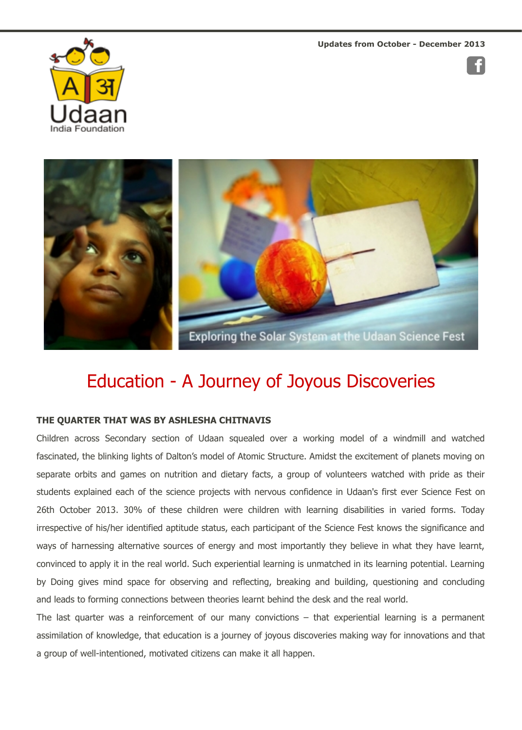

## Education - A Journey of Joyous Discoveries

## **THE QUARTER THAT WAS BY ASHLESHA CHITNAVIS**

Children across Secondary section of Udaan squealed over a working model of a windmill and w fascinated, the blinking lights of Dalton's model of Atomic Structure. Amidst the excitement of planets mov separate orbits and games on nutrition and dietary facts, a group of volunteers watched with pride as students explained each of the science projects with nervous confidence in Udaan's first ever Science F 26th October 2013. 30% of these children were children with learning disabilities in varied forms. irrespective of his/her identified aptitude status, each participant of the Science Fest knows the significan ways of harnessing alternative sources of energy and most importantly they believe in what they have convinced to apply it in the real world. Such experiential learning is unmatched in its learning potential. Le by Doing gives mind space for observing and reflecting, breaking and building, questioning and con and leads to forming connections between theories learnt behind the desk and the real world.

The last quarter was a reinforcement of our many convictions  $-$  that experiential learning is a perr assimilation of knowledge, that education is a journey of joyous discoveries making way for innovations and that a group of well-intentioned, motivated citizens can make it all happen.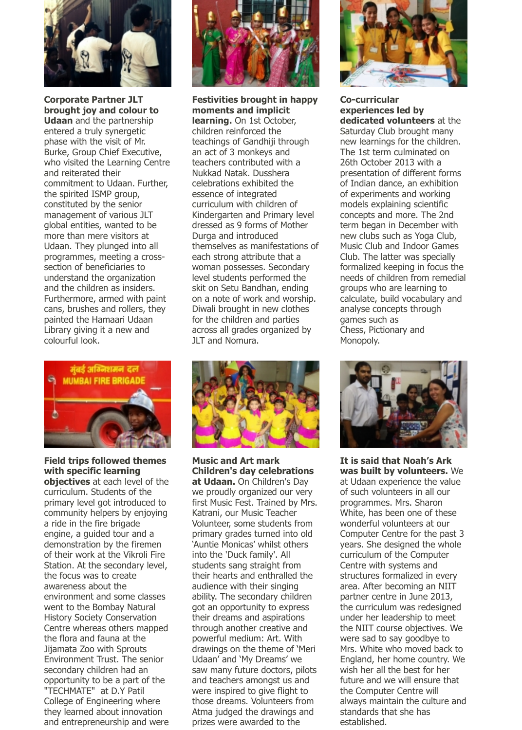

**Corporate Partner JLT brought joy and colour to Udaan** and the partnership entered a truly synergetic phase with the visit of Mr. Burke, Group Chief Executive, who visited the Learning Centre and reiterated their commitment to Udaan. Further, the spirited ISMP group, constituted by the senior management of various JLT global entities, wanted to be more than mere visitors at Udaan. They plunged into all programmes, meeting a crosssection of beneficiaries to understand the organization and the children as insiders. Furthermore, armed with paint cans, brushes and rollers, they painted the Hamaari Udaan Library giving it a new and colourful look.



**Field trips followed themes with specific learning objectives** at each level of the curriculum. Students of the primary level got introduced to community helpers by enjoying a ride in the fire brigade engine, a guided tour and a demonstration by the firemen of their work at the Vikroli Fire Station. At the secondary level, the focus was to create awareness about the environment and some classes went to the Bombay Natural History Society Conservation Centre whereas others mapped the flora and fauna at the Jijamata Zoo with Sprouts Environment Trust. The senior secondary children had an opportunity to be a part of the "TECHMATE" at D.Y Patil College of Engineering where they learned about innovation and entrepreneurship and were



**Festivities brought in happy moments and implicit learning.** On 1st October, children reinforced the teachings of Gandhiji through an act of 3 monkeys and teachers contributed with a Nukkad Natak. Dusshera celebrations exhibited the essence of integrated curriculum with children of Kindergarten and Primary level dressed as 9 forms of Mother Durga and introduced themselves as manifestations of each strong attribute that a woman possesses. Secondary level students performed the skit on Setu Bandhan, ending on a note of work and worship. Diwali brought in new clothes for the children and parties across all grades organized by JLT and Nomura.



**Music and Art mark Children's day celebrations at Udaan.** On Children's Day we proudly organized our very first Music Fest. Trained by Mrs. Katrani, our Music Teacher Volunteer, some students from primary grades turned into old 'Auntie Monicas' whilst others into the 'Duck family'. All students sang straight from their hearts and enthralled the audience with their singing ability. The secondary children got an opportunity to express their dreams and aspirations through another creative and powerful medium: Art. With drawings on the theme of 'Meri Udaan' and 'My Dreams' we saw many future doctors, pilots and teachers amongst us and were inspired to give flight to those dreams. Volunteers from Atma judged the drawings and prizes were awarded to the



**Co-curricular experiences led by dedicated volunteers** at the Saturday Club brought many new learnings for the children. The 1st term culminated on 26th October 2013 with a presentation of different forms of Indian dance, an exhibition of experiments and working models explaining scientific concepts and more. The 2nd term began in December with new clubs such as Yoga Club, Music Club and Indoor Games Club. The latter was specially formalized keeping in focus the needs of children from remedial groups who are learning to calculate, build vocabulary and analyse concepts through games such as Chess, Pictionary and Monopoly.



**It is said that Noah's Ark was built by volunteers.** We at Udaan experience the value of such volunteers in all our programmes. Mrs. Sharon White, has been one of these wonderful volunteers at our Computer Centre for the past 3 years. She designed the whole curriculum of the Computer Centre with systems and structures formalized in every area. After becoming an NIIT partner centre in June 2013, the curriculum was redesigned under her leadership to meet the NIIT course objectives. We were sad to say goodbye to Mrs. White who moved back to England, her home country. We wish her all the best for her future and we will ensure that the Computer Centre will always maintain the culture and standards that she has established.